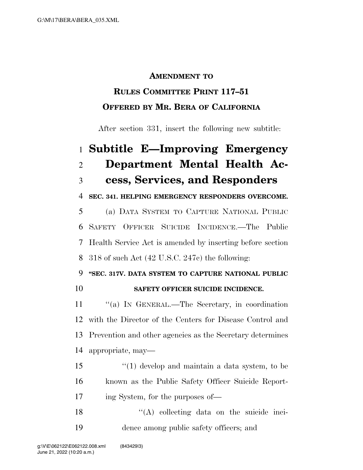#### **AMENDMENT TO**

## **RULES COMMITTEE PRINT 117–51 OFFERED BY MR. BERA OF CALIFORNIA**

After section 331, insert the following new subtitle:

## **Subtitle E—Improving Emergency Department Mental Health Ac-cess, Services, and Responders**

**SEC. 341. HELPING EMERGENCY RESPONDERS OVERCOME.** 

 (a) DATA SYSTEM TO CAPTURE NATIONAL PUBLIC SAFETY OFFICER SUICIDE INCIDENCE.—The Public Health Service Act is amended by inserting before section 318 of such Act (42 U.S.C. 247c) the following:

# **''SEC. 317V. DATA SYSTEM TO CAPTURE NATIONAL PUBLIC**

### **SAFETY OFFICER SUICIDE INCIDENCE.**

 ''(a) IN GENERAL.—The Secretary, in coordination with the Director of the Centers for Disease Control and Prevention and other agencies as the Secretary determines appropriate, may—

 ''(1) develop and maintain a data system, to be known as the Public Safety Officer Suicide Report-ing System, for the purposes of—

18 ''(A) collecting data on the suicide inci-dence among public safety officers; and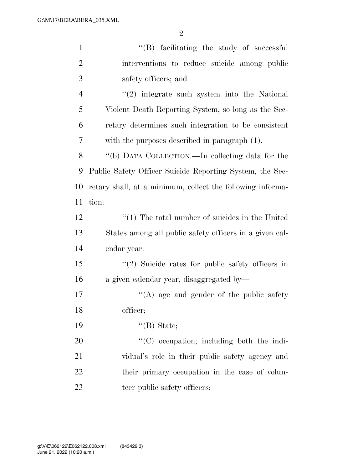| $\mathbf{1}$   | "(B) facilitating the study of successful                  |
|----------------|------------------------------------------------------------|
| $\overline{2}$ | interventions to reduce suicide among public               |
| 3              | safety officers; and                                       |
| $\overline{4}$ | $\lq(2)$ integrate such system into the National           |
| 5              | Violent Death Reporting System, so long as the Sec-        |
| 6              | retary determines such integration to be consistent        |
| 7              | with the purposes described in paragraph (1).              |
| 8              | "(b) DATA COLLECTION.—In collecting data for the           |
| 9              | Public Safety Officer Suicide Reporting System, the Sec-   |
| 10             | retary shall, at a minimum, collect the following informa- |
| 11             | tion:                                                      |
| 12             | $\lq(1)$ The total number of suicides in the United        |
| 13             | States among all public safety officers in a given cal-    |
| 14             | endar year.                                                |
| 15             | $\lq(2)$ Suicide rates for public safety officers in       |
| 16             | a given calendar year, disaggregated by-                   |
| 17             | $\lq\lq$ age and gender of the public safety               |
| 18             | officer;                                                   |
| 19             | $\lq\lq(B)$ State;                                         |
| 20             | $\lq\lq$ occupation; including both the indi-              |
| 21             | vidual's role in their public safety agency and            |
| 22             | their primary occupation in the case of volun-             |
| 23             | teer public safety officers;                               |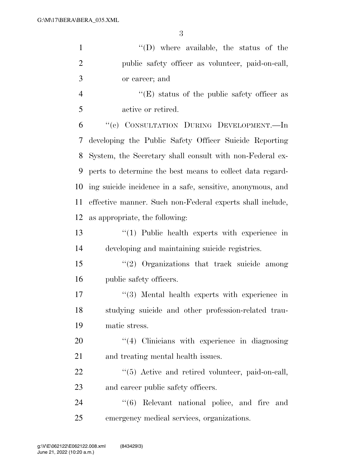| $\mathbf{1}$   | "(D) where available, the status of the                    |
|----------------|------------------------------------------------------------|
| $\overline{2}$ | public safety officer as volunteer, paid-on-call,          |
| 3              | or career; and                                             |
| $\overline{4}$ | $\lq\lq(E)$ status of the public safety officer as         |
| 5              | active or retired.                                         |
| 6              | "(c) CONSULTATION DURING DEVELOPMENT.—In                   |
| 7              | developing the Public Safety Officer Suicide Reporting     |
| 8              | System, the Secretary shall consult with non-Federal ex-   |
| 9              | perts to determine the best means to collect data regard-  |
| 10             | ing suicide incidence in a safe, sensitive, anonymous, and |
| 11             | effective manner. Such non-Federal experts shall include,  |
| 12             | as appropriate, the following:                             |
| 13             | "(1) Public health experts with experience in              |
| 14             | developing and maintaining suicide registries.             |
| 15             | $"(2)$ Organizations that track suicide among              |
| 16             | public safety officers.                                    |
| 17             | $\lq(3)$ Mental health experts with experience in          |
| 18             | studying suicide and other profession-related trau-        |
| 19             | matic stress.                                              |
| <b>20</b>      | $\lq(4)$ Clinicians with experience in diagnosing          |
| 21             | and treating mental health issues.                         |
| 22             | $\lq(5)$ Active and retired volunteer, paid-on-call,       |
| 23             | and career public safety officers.                         |
| 24             | (6)<br>Relevant national police, and fire and              |
| 25             | emergency medical services, organizations.                 |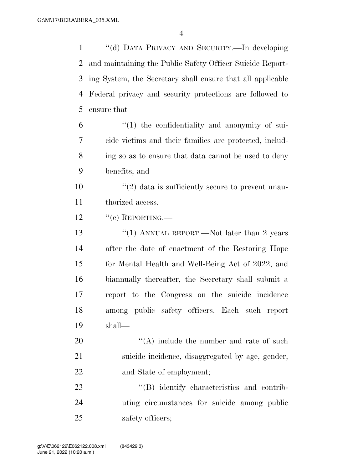''(d) DATA PRIVACY AND SECURITY.—In developing and maintaining the Public Safety Officer Suicide Report- ing System, the Secretary shall ensure that all applicable Federal privacy and security protections are followed to ensure that—

 "(1) the confidentiality and anonymity of sui- cide victims and their families are protected, includ- ing so as to ensure that data cannot be used to deny benefits; and

 $\frac{10}{20}$  <sup>''</sup>(2) data is sufficiently secure to prevent unau-thorized access.

12 "(e) REPORTING.—

13 "(1) ANNUAL REPORT.—Not later than 2 years after the date of enactment of the Restoring Hope for Mental Health and Well-Being Act of 2022, and biannually thereafter, the Secretary shall submit a report to the Congress on the suicide incidence among public safety officers. Each such report shall—

 ''(A) include the number and rate of such suicide incidence, disaggregated by age, gender, and State of employment;

23 "'(B) identify characteristics and contrib- uting circumstances for suicide among public 25 safety officers;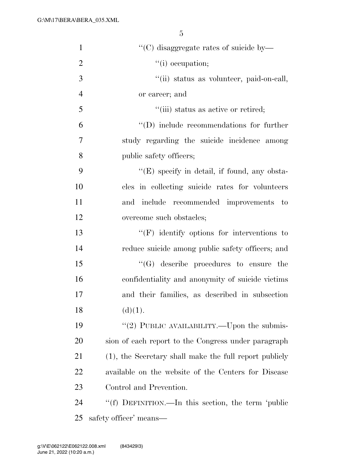| $\mathbf{1}$   | "(C) disaggregate rates of suicide by-                 |
|----------------|--------------------------------------------------------|
| $\overline{2}$ | "(i) occupation;                                       |
| 3              | "(ii) status as volunteer, paid-on-call,               |
| $\overline{4}$ | or career; and                                         |
| 5              | "(iii) status as active or retired;                    |
| 6              | $\lq\lq$ (D) include recommendations for further       |
| 7              | study regarding the suicide incidence among            |
| 8              | public safety officers;                                |
| 9              | $\lq\lq(E)$ specify in detail, if found, any obsta-    |
| 10             | cles in collecting suicide rates for volunteers        |
| 11             | include recommended improvements to<br>and             |
| 12             | overcome such obstacles;                               |
| 13             | $\lq\lq(F)$ identify options for interventions to      |
| 14             | reduce suicide among public safety officers; and       |
| 15             | $\lq\lq(G)$ describe procedures to ensure the          |
| 16             | confidentiality and anonymity of suicide victims       |
| 17             | and their families, as described in subsection         |
| 18             | (d)(1).                                                |
| 19             | "(2) PUBLIC AVAILABILITY.—Upon the submis-             |
| 20             | sion of each report to the Congress under paragraph    |
| 21             | (1), the Secretary shall make the full report publicly |
| 22             | available on the website of the Centers for Disease    |
| 23             | Control and Prevention.                                |
| 24             | "(f) DEFINITION.—In this section, the term 'public     |
| 25             | safety officer' means—                                 |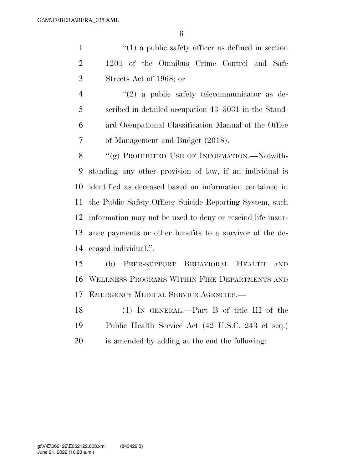1 ''(1) a public safety officer as defined in section 1204 of the Omnibus Crime Control and Safe Streets Act of 1968; or

4 ''(2) a public safety telecommunicator as de- scribed in detailed occupation 43–5031 in the Stand- ard Occupational Classification Manual of the Office of Management and Budget (2018).

8 "(g) PROHIBITED USE OF INFORMATION.—Notwith- standing any other provision of law, if an individual is identified as deceased based on information contained in the Public Safety Officer Suicide Reporting System, such information may not be used to deny or rescind life insur- ance payments or other benefits to a survivor of the de-ceased individual.''.

 (b) PEER-SUPPORT BEHAVIORAL HEALTH AND WELLNESS PROGRAMS WITHIN FIRE DEPARTMENTS AND EMERGENCY MEDICAL SERVICE AGENCIES.—

 (1) IN GENERAL.—Part B of title III of the Public Health Service Act (42 U.S.C. 243 et seq.) is amended by adding at the end the following: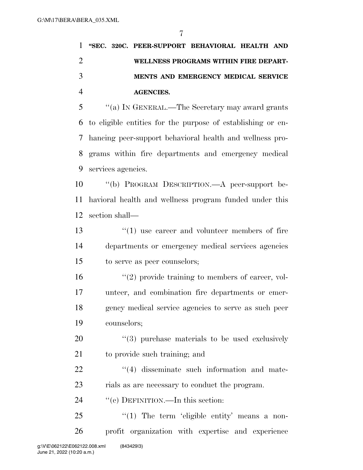|  | 1 "SEC. 320C. PEER-SUPPORT BEHAVIORAL HEALTH AND |  |
|--|--------------------------------------------------|--|
|  | WELLNESS PROGRAMS WITHIN FIRE DEPART-            |  |
|  | MENTS AND EMERGENCY MEDICAL SERVICE              |  |
|  | AGENCIES.                                        |  |

 ''(a) IN GENERAL.—The Secretary may award grants to eligible entities for the purpose of establishing or en- hancing peer-support behavioral health and wellness pro- grams within fire departments and emergency medical services agencies.

 ''(b) PROGRAM DESCRIPTION.—A peer-support be- havioral health and wellness program funded under this section shall—

13 ''(1) use career and volunteer members of fire departments or emergency medical services agencies to serve as peer counselors;

16 ''(2) provide training to members of career, vol- unteer, and combination fire departments or emer- gency medical service agencies to serve as such peer counselors;

20  $\frac{1}{20}$  (3) purchase materials to be used exclusively to provide such training; and

22  $\frac{4}{4}$  disseminate such information and mate-rials as are necessary to conduct the program.

24 "'(c) DEFINITION.—In this section:

 "(1) The term 'eligible entity' means a non-profit organization with expertise and experience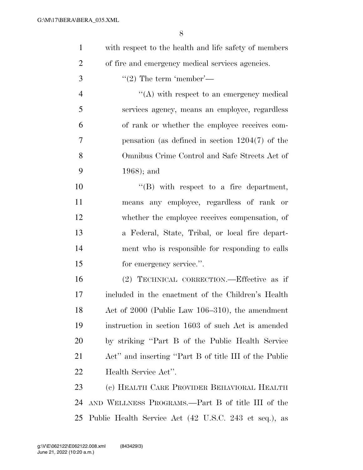- with respect to the health and life safety of members of fire and emergency medical services agencies.
- ''(2) The term 'member'—

4 ''(A) with respect to an emergency medical services agency, means an employee, regardless of rank or whether the employee receives com- pensation (as defined in section 1204(7) of the Omnibus Crime Control and Safe Streets Act of 1968); and

 $\text{``(B)}$  with respect to a fire department, means any employee, regardless of rank or whether the employee receives compensation, of a Federal, State, Tribal, or local fire depart- ment who is responsible for responding to calls 15 for emergency service.".

 (2) TECHNICAL CORRECTION.—Effective as if included in the enactment of the Children's Health Act of 2000 (Public Law 106–310), the amendment instruction in section 1603 of such Act is amended by striking ''Part B of the Public Health Service Act'' and inserting ''Part B of title III of the Public Health Service Act''.

 (c) HEALTH CARE PROVIDER BEHAVIORAL HEALTH AND WELLNESS PROGRAMS.—Part B of title III of the Public Health Service Act (42 U.S.C. 243 et seq.), as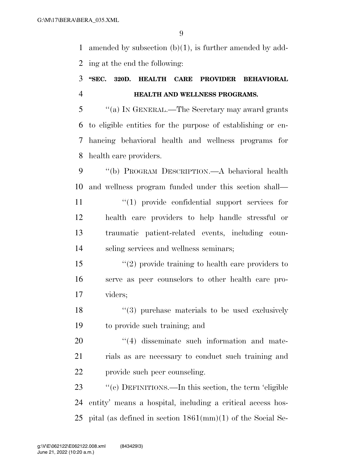amended by subsection (b)(1), is further amended by add-ing at the end the following:

## **''SEC. 320D. HEALTH CARE PROVIDER BEHAVIORAL HEALTH AND WELLNESS PROGRAMS.**

 ''(a) IN GENERAL.—The Secretary may award grants to eligible entities for the purpose of establishing or en- hancing behavioral health and wellness programs for health care providers.

 ''(b) PROGRAM DESCRIPTION.—A behavioral health and wellness program funded under this section shall—  $\frac{1}{2}$  (1) provide confidential support services for health care providers to help handle stressful or

 traumatic patient-related events, including coun-seling services and wellness seminars;

 ''(2) provide training to health care providers to serve as peer counselors to other health care pro-viders;

18 ''(3) purchase materials to be used exclusively to provide such training; and

20  $\frac{4}{4}$  disseminate such information and mate- rials as are necessary to conduct such training and provide such peer counseling.

23 "(c) DEFINITIONS.—In this section, the term 'eligible entity' means a hospital, including a critical access hos-pital (as defined in section 1861(mm)(1) of the Social Se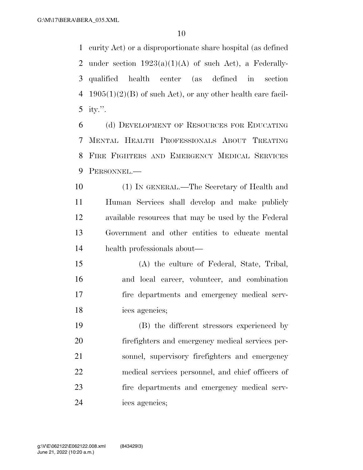curity Act) or a disproportionate share hospital (as defined 2 under section  $1923(a)(1)(A)$  of such Act), a Federally- qualified health center (as defined in section 4 1905(1)(2)(B) of such Act), or any other health care facil-ity.''.

 (d) DEVELOPMENT OF RESOURCES FOR EDUCATING MENTAL HEALTH PROFESSIONALS ABOUT TREATING FIRE FIGHTERS AND EMERGENCY MEDICAL SERVICES PERSONNEL.—

 (1) IN GENERAL.—The Secretary of Health and Human Services shall develop and make publicly available resources that may be used by the Federal Government and other entities to educate mental health professionals about—

 (A) the culture of Federal, State, Tribal, and local career, volunteer, and combination fire departments and emergency medical serv-ices agencies;

 (B) the different stressors experienced by firefighters and emergency medical services per- sonnel, supervisory firefighters and emergency medical services personnel, and chief officers of fire departments and emergency medical serv-ices agencies;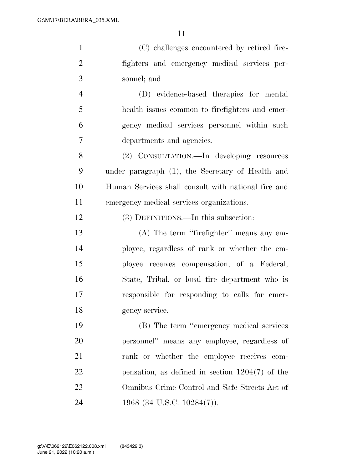| $\mathbf{1}$   | (C) challenges encountered by retired fire-         |
|----------------|-----------------------------------------------------|
| $\overline{2}$ | fighters and emergency medical services per-        |
| 3              | sonnel; and                                         |
| $\overline{4}$ | (D) evidence-based therapies for mental             |
| 5              | health issues common to firefighters and emer-      |
| 6              | gency medical services personnel within such        |
| 7              | departments and agencies.                           |
| 8              | (2) CONSULTATION.—In developing resources           |
| 9              | under paragraph (1), the Secretary of Health and    |
| 10             | Human Services shall consult with national fire and |
| 11             | emergency medical services organizations.           |
| 12             | (3) DEFINITIONS.—In this subsection:                |
| 13             | (A) The term "firefighter" means any em-            |
| 14             | ployee, regardless of rank or whether the em-       |
| 15             | ployee receives compensation, of a Federal,         |
| 16             | State, Tribal, or local fire department who is      |
| 17             | responsible for responding to calls for emer-       |
| 18             | gency service.                                      |
| 19             | (B) The term "emergency medical services            |
| 20             | personnel" means any employee, regardless of        |
| 21             | rank or whether the employee receives com-          |

pensation, as defined in section 1204(7) of the

Omnibus Crime Control and Safe Streets Act of

24 1968 (34 U.S.C. 10284(7)).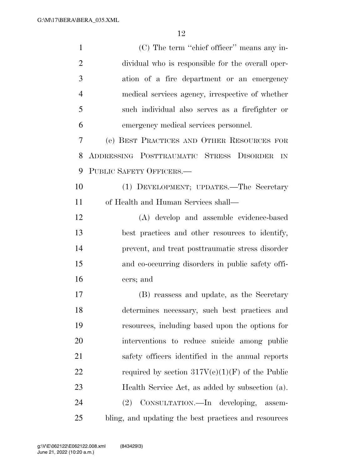(C) The term ''chief officer'' means any in- dividual who is responsible for the overall oper- ation of a fire department or an emergency medical services agency, irrespective of whether such individual also serves as a firefighter or emergency medical services personnel. (e) BEST PRACTICES AND OTHER RESOURCES FOR ADDRESSING POSTTRAUMATIC STRESS DISORDER IN PUBLIC SAFETY OFFICERS.— (1) DEVELOPMENT; UPDATES.—The Secretary of Health and Human Services shall— (A) develop and assemble evidence-based best practices and other resources to identify, prevent, and treat posttraumatic stress disorder and co-occurring disorders in public safety offi- cers; and (B) reassess and update, as the Secretary determines necessary, such best practices and resources, including based upon the options for interventions to reduce suicide among public safety officers identified in the annual reports 22 required by section  $317V(e)(1)(F)$  of the Public Health Service Act, as added by subsection (a). (2) CONSULTATION.—In developing, assem-bling, and updating the best practices and resources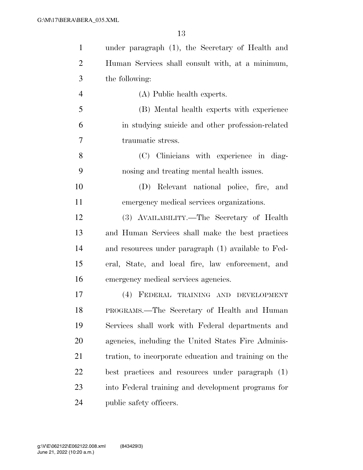| $\mathbf{1}$   | under paragraph (1), the Secretary of Health and      |
|----------------|-------------------------------------------------------|
| $\overline{2}$ | Human Services shall consult with, at a minimum,      |
| 3              | the following:                                        |
| $\overline{4}$ | (A) Public health experts.                            |
| 5              | (B) Mental health experts with experience             |
| 6              | in studying suicide and other profession-related      |
| 7              | traumatic stress.                                     |
| 8              | (C) Clinicians with experience in diag-               |
| 9              | nosing and treating mental health issues.             |
| 10             | (D) Relevant national police, fire, and               |
| 11             | emergency medical services organizations.             |
| 12             | (3) AVAILABILITY.—The Secretary of Health             |
| 13             | and Human Services shall make the best practices      |
| 14             | and resources under paragraph (1) available to Fed-   |
| 15             | eral, State, and local fire, law enforcement, and     |
| 16             | emergency medical services agencies.                  |
| 17             | (4) FEDERAL TRAINING AND DEVELOPMENT                  |
| 18             | PROGRAMS.—The Secretary of Health and Human           |
| 19             | Services shall work with Federal departments and      |
| 20             | agencies, including the United States Fire Adminis-   |
| 21             | tration, to incorporate education and training on the |
| 22             | best practices and resources under paragraph (1)      |
| 23             | into Federal training and development programs for    |
| 24             | public safety officers.                               |